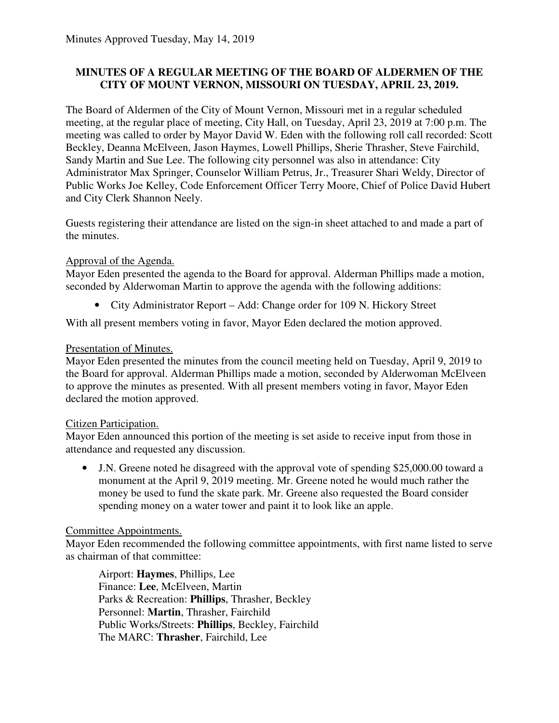## **MINUTES OF A REGULAR MEETING OF THE BOARD OF ALDERMEN OF THE CITY OF MOUNT VERNON, MISSOURI ON TUESDAY, APRIL 23, 2019.**

The Board of Aldermen of the City of Mount Vernon, Missouri met in a regular scheduled meeting, at the regular place of meeting, City Hall, on Tuesday, April 23, 2019 at 7:00 p.m. The meeting was called to order by Mayor David W. Eden with the following roll call recorded: Scott Beckley, Deanna McElveen, Jason Haymes, Lowell Phillips, Sherie Thrasher, Steve Fairchild, Sandy Martin and Sue Lee. The following city personnel was also in attendance: City Administrator Max Springer, Counselor William Petrus, Jr., Treasurer Shari Weldy, Director of Public Works Joe Kelley, Code Enforcement Officer Terry Moore, Chief of Police David Hubert and City Clerk Shannon Neely.

Guests registering their attendance are listed on the sign-in sheet attached to and made a part of the minutes.

## Approval of the Agenda.

Mayor Eden presented the agenda to the Board for approval. Alderman Phillips made a motion, seconded by Alderwoman Martin to approve the agenda with the following additions:

• City Administrator Report – Add: Change order for 109 N. Hickory Street

With all present members voting in favor, Mayor Eden declared the motion approved.

## Presentation of Minutes.

Mayor Eden presented the minutes from the council meeting held on Tuesday, April 9, 2019 to the Board for approval. Alderman Phillips made a motion, seconded by Alderwoman McElveen to approve the minutes as presented. With all present members voting in favor, Mayor Eden declared the motion approved.

#### Citizen Participation.

Mayor Eden announced this portion of the meeting is set aside to receive input from those in attendance and requested any discussion.

• J.N. Greene noted he disagreed with the approval vote of spending \$25,000.00 toward a monument at the April 9, 2019 meeting. Mr. Greene noted he would much rather the money be used to fund the skate park. Mr. Greene also requested the Board consider spending money on a water tower and paint it to look like an apple.

#### Committee Appointments.

Mayor Eden recommended the following committee appointments, with first name listed to serve as chairman of that committee:

Airport: **Haymes**, Phillips, Lee Finance: **Lee**, McElveen, Martin Parks & Recreation: **Phillips**, Thrasher, Beckley Personnel: **Martin**, Thrasher, Fairchild Public Works/Streets: **Phillips**, Beckley, Fairchild The MARC: **Thrasher**, Fairchild, Lee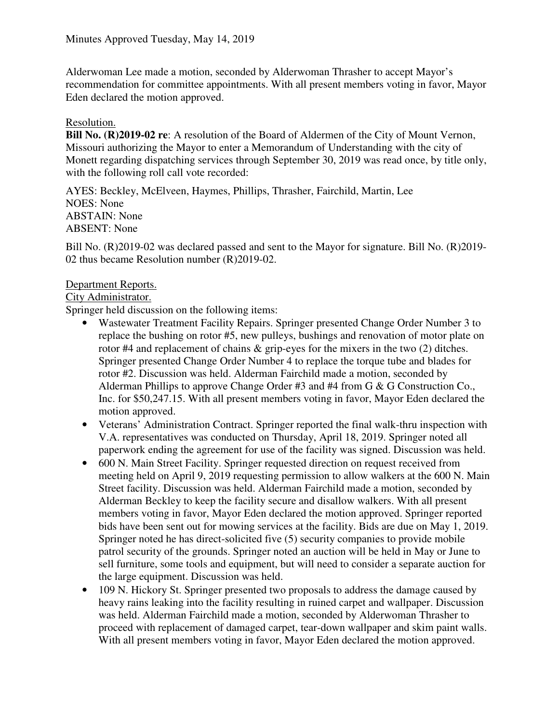Alderwoman Lee made a motion, seconded by Alderwoman Thrasher to accept Mayor's recommendation for committee appointments. With all present members voting in favor, Mayor Eden declared the motion approved.

## Resolution.

**Bill No. (R)2019-02 re**: A resolution of the Board of Aldermen of the City of Mount Vernon, Missouri authorizing the Mayor to enter a Memorandum of Understanding with the city of Monett regarding dispatching services through September 30, 2019 was read once, by title only, with the following roll call vote recorded:

AYES: Beckley, McElveen, Haymes, Phillips, Thrasher, Fairchild, Martin, Lee NOES: None ABSTAIN: None ABSENT: None

Bill No. (R) 2019-02 was declared passed and sent to the Mayor for signature. Bill No. (R) 2019-02 thus became Resolution number (R)2019-02.

## Department Reports.

City Administrator.

Springer held discussion on the following items:

- Wastewater Treatment Facility Repairs. Springer presented Change Order Number 3 to replace the bushing on rotor #5, new pulleys, bushings and renovation of motor plate on rotor #4 and replacement of chains & grip-eyes for the mixers in the two (2) ditches. Springer presented Change Order Number 4 to replace the torque tube and blades for rotor #2. Discussion was held. Alderman Fairchild made a motion, seconded by Alderman Phillips to approve Change Order #3 and #4 from G & G Construction Co., Inc. for \$50,247.15. With all present members voting in favor, Mayor Eden declared the motion approved.
- Veterans' Administration Contract. Springer reported the final walk-thru inspection with V.A. representatives was conducted on Thursday, April 18, 2019. Springer noted all paperwork ending the agreement for use of the facility was signed. Discussion was held.
- 600 N. Main Street Facility. Springer requested direction on request received from meeting held on April 9, 2019 requesting permission to allow walkers at the 600 N. Main Street facility. Discussion was held. Alderman Fairchild made a motion, seconded by Alderman Beckley to keep the facility secure and disallow walkers. With all present members voting in favor, Mayor Eden declared the motion approved. Springer reported bids have been sent out for mowing services at the facility. Bids are due on May 1, 2019. Springer noted he has direct-solicited five (5) security companies to provide mobile patrol security of the grounds. Springer noted an auction will be held in May or June to sell furniture, some tools and equipment, but will need to consider a separate auction for the large equipment. Discussion was held.
- 109 N. Hickory St. Springer presented two proposals to address the damage caused by heavy rains leaking into the facility resulting in ruined carpet and wallpaper. Discussion was held. Alderman Fairchild made a motion, seconded by Alderwoman Thrasher to proceed with replacement of damaged carpet, tear-down wallpaper and skim paint walls. With all present members voting in favor, Mayor Eden declared the motion approved.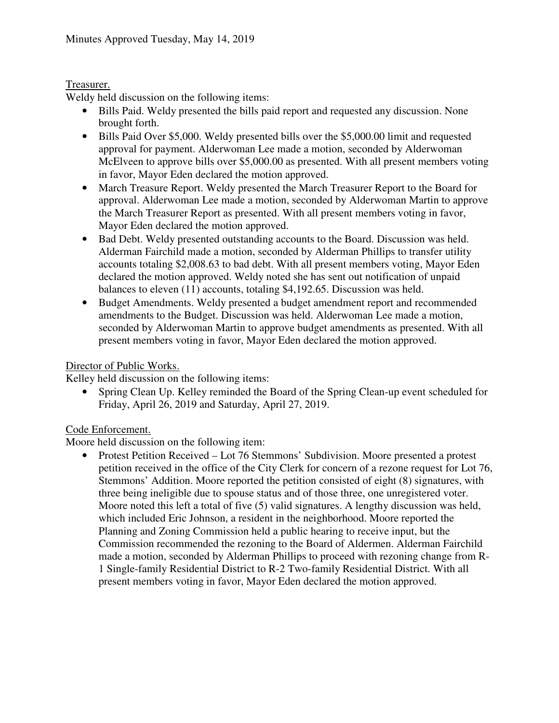# Treasurer.

Weldy held discussion on the following items:

- Bills Paid. Weldy presented the bills paid report and requested any discussion. None brought forth.
- Bills Paid Over \$5,000. Weldy presented bills over the \$5,000,00 limit and requested approval for payment. Alderwoman Lee made a motion, seconded by Alderwoman McElveen to approve bills over \$5,000.00 as presented. With all present members voting in favor, Mayor Eden declared the motion approved.
- March Treasure Report. Weldy presented the March Treasurer Report to the Board for approval. Alderwoman Lee made a motion, seconded by Alderwoman Martin to approve the March Treasurer Report as presented. With all present members voting in favor, Mayor Eden declared the motion approved.
- Bad Debt. Weldy presented outstanding accounts to the Board. Discussion was held. Alderman Fairchild made a motion, seconded by Alderman Phillips to transfer utility accounts totaling \$2,008.63 to bad debt. With all present members voting, Mayor Eden declared the motion approved. Weldy noted she has sent out notification of unpaid balances to eleven (11) accounts, totaling \$4,192.65. Discussion was held.
- Budget Amendments. Weldy presented a budget amendment report and recommended amendments to the Budget. Discussion was held. Alderwoman Lee made a motion, seconded by Alderwoman Martin to approve budget amendments as presented. With all present members voting in favor, Mayor Eden declared the motion approved.

## Director of Public Works.

Kelley held discussion on the following items:

• Spring Clean Up. Kelley reminded the Board of the Spring Clean-up event scheduled for Friday, April 26, 2019 and Saturday, April 27, 2019.

# Code Enforcement.

Moore held discussion on the following item:

• Protest Petition Received – Lot 76 Stemmons' Subdivision. Moore presented a protest petition received in the office of the City Clerk for concern of a rezone request for Lot 76, Stemmons' Addition. Moore reported the petition consisted of eight (8) signatures, with three being ineligible due to spouse status and of those three, one unregistered voter. Moore noted this left a total of five (5) valid signatures. A lengthy discussion was held, which included Eric Johnson, a resident in the neighborhood. Moore reported the Planning and Zoning Commission held a public hearing to receive input, but the Commission recommended the rezoning to the Board of Aldermen. Alderman Fairchild made a motion, seconded by Alderman Phillips to proceed with rezoning change from R-1 Single-family Residential District to R-2 Two-family Residential District. With all present members voting in favor, Mayor Eden declared the motion approved.